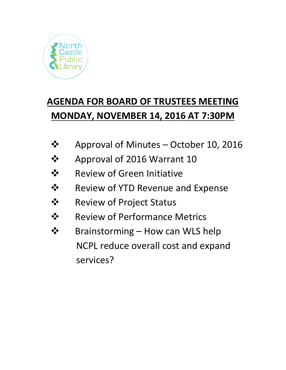

## **AGENDA FOR BOARD OF TRUSTEES MEETING MONDAY, NOVEMBER 14, 2016 AT 7:30PM**

- $\div$  Approval of Minutes October 10, 2016
- **❖** Approval of 2016 Warrant 10
- **❖** Review of Green Initiative
- $\dots$  Review of YTD Revenue and Expense
- **❖** Review of Project Status
- **❖** Review of Performance Metrics
- **❖** Brainstorming How can WLS help NCPL reduce overall cost and expand services?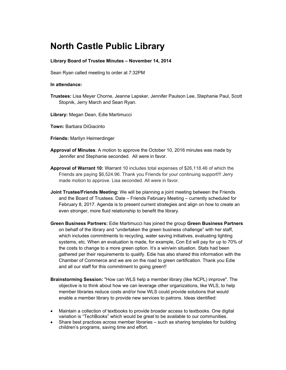## **North Castle Public Library**

## **Library Board of Trustee Minutes – November 14, 2014**

Sean Ryan called meeting to order at 7:32PM

## **In attendance:**

- **Trustees:** Lisa Meyer Chorne, Jeanne Lapsker, Jennifer Paulson Lee, Stephanie Paul, Scott Stopnik, Jerry March and Sean Ryan.
- **Library:** Megan Dean, Edie Martimucci
- **Town:** Barbara DiGiacinto
- **Friends:** Marilyn Heimerdinger
- **Approval of Minutes**: A motion to approve the October 10, 2016 minutes was made by Jennifer and Stephanie seconded.All were in favor.
- **Approval of Warrant 10:** Warrant 10 includes total expenses of \$26,118.46 of which the Friends are paying \$6,524.96. Thank you Friends for your continuing support!!! Jerry made motion to approve. Lisa seconded. All were in favor.
- **Joint Trustee/Friends Meeting:** We will be planning a joint meeting between the Friends and the Board of Trustees. Date – Friends February Meeting – currently scheduled for February 8, 2017. Agenda is to present current strategies and align on how to create an even stronger, more fluid relationship to benefit the library.
- **Green Business Partners:** Edie Martimucci has joined the group **Green Business Partners** on behalf of the library and "undertaken the green business challenge" with her staff, which includes commitments to recycling, water saving initiatives, evaluating lighting systems, etc. When an evaluation is made, for example, Con Ed will pay for up to 70% of the costs to change to a more green option. It's a win/win situation. Stats had been gathered per their requirements to qualify. Edie has also shared this information with the Chamber of Commerce and we are on the road to green certification. Thank you Edie and all our staff for this commitment to going green!!
- **Brainstorming Session:** "How can WLS help a member library (like NCPL) improve". The objective is to think about how we can leverage other organizations, like WLS, to help member libraries reduce costs and/or how WLS could provide solutions that would enable a member library to provide new services to patrons. Ideas identified:
- Maintain a collection of textbooks to provide broader access to textbooks. One digital variation is "TechBooks" which would be great to be available to our communities.
- Share best practices across member libraries such as sharing templates for building children's programs, saving time and effort.